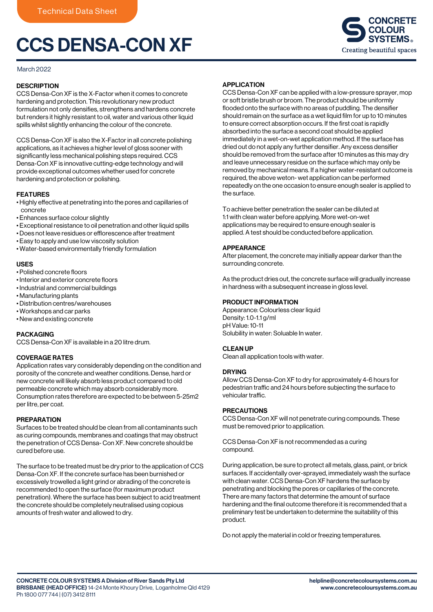# CCS DENSA-CON XF

## March 2022

## **DESCRIPTION**

CCS Densa-Con XF is the X-Factor when it comes to concrete hardening and protection. This revolutionary new product formulation not only densifies, strengthens and hardens concrete but renders it highly resistant to oil, water and various other liquid spills whilst slightly enhancing the colour of the concrete.

CCS Densa-Con XF is also the X-Factor in all concrete polishing applications, as it achieves a higher level of gloss sooner with significantly less mechanical polishing steps required. CCS Densa-Con XF is innovative cutting-edge technology and will provide exceptional outcomes whether used for concrete hardening and protection or polishing.

## FEATURES

- Highly effective at penetrating into the pores and capillaries of concrete
- Enhances surface colour slightly
- Exceptional resistance to oil penetration and other liquid spills
- Does not leave residues or efflorescence after treatment
- Easy to apply and use low viscosity solution
- Water-based environmentally friendly formulation

## USES

- Polished concrete floors
- Interior and exterior concrete floors
- Industrial and commercial buildings
- Manufacturing plants
- Distribution centres/warehouses
- Workshops and car parks
- New and existing concrete

## PACKAGING

CCS Densa-Con XF is available in a 20 litre drum.

## COVERAGE RATES

Application rates vary considerably depending on the condition and porosity of the concrete and weather conditions. Dense, hard or new concrete will likely absorb less product compared to old permeable concrete which may absorb considerably more. Consumption rates therefore are expected to be between 5-25m2 per litre, per coat.

## PREPARATION

Surfaces to be treated should be clean from all contaminants such as curing compounds, membranes and coatings that may obstruct the penetration of CCS Densa- Con XF. New concrete should be cured before use.

The surface to be treated must be dry prior to the application of CCS Densa-Con XF. If the concrete surface has been burnished or excessively trowelled a light grind or abrading of the concrete is recommended to open the surface (for maximum product penetration). Where the surface has been subject to acid treatment the concrete should be completely neutralised using copious amounts of fresh water and allowed to dry.

## **APPLICATION**

CCS Densa-Con XF can be applied with a low-pressure sprayer, mop or soft bristle brush or broom. The product should be uniformly flooded onto the surface with no areas of puddling. The densifier should remain on the surface as a wet liquid film for up to 10 minutes to ensure correct absorption occurs. If the first coat is rapidly absorbed into the surface a second coat should be applied immediately in a wet-on-wet application method. If the surface has dried out do not apply any further densifier. Any excess densifier should be removed from the surface after 10 minutes as this may dry and leave unnecessary residue on the surface which may only be removed by mechanical means. If a higher water-resistant outcome is required, the above weton- wet application can be performed repeatedly on the one occasion to ensure enough sealer is applied to the surface.

To achieve better penetration the sealer can be diluted at 1:1 with clean water before applying. More wet-on-wet applications may be required to ensure enough sealer is applied. A test should be conducted before application.

## APPEARANCE

After placement, the concrete may initially appear darker than the surrounding concrete.

As the product dries out, the concrete surface will gradually increase in hardness with a subsequent increase in gloss level.

## PRODUCT INFORMATION

Appearance: Colourless clear liquid Density: 1.0-1.1 g/ml pH Value: 10-11 Solubility in water: Soluable In water.

## CLEAN UP

Clean all application tools with water.

## DRYING

Allow CCS Densa-Con XF to dry for approximately 4-6 hours for pedestrian traffic and 24 hours before subjecting the surface to vehicular traffic.

## PRECAUTIONS

CCS Densa-Con XF will not penetrate curing compounds. These must be removed prior to application.

CCS Densa-Con XF is not recommended as a curing compound.

During application, be sure to protect all metals, glass, paint, or brick surfaces. If accidentally over-sprayed, immediately wash the surface with clean water. CCS Densa-Con XF hardens the surface by penetrating and blocking the pores or capillaries of the concrete. There are many factors that determine the amount of surface hardening and the final outcome therefore it is recommended that a preliminary test be undertaken to determine the suitability of this product.

Do not apply the material in cold or freezing temperatures.